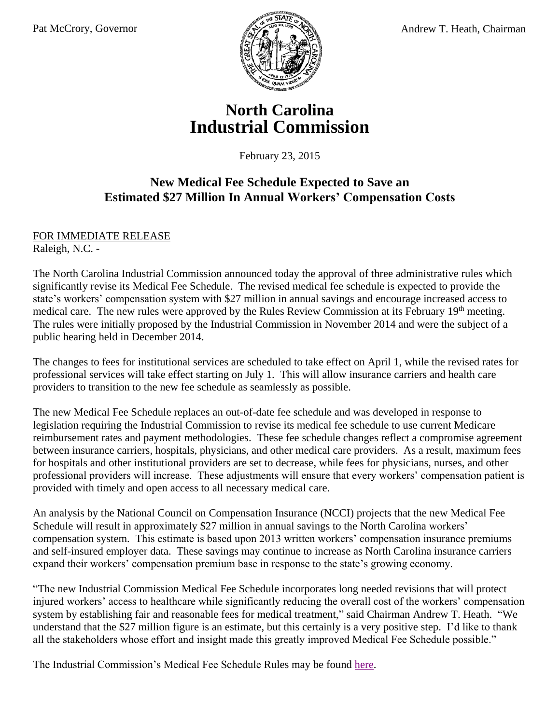

## **North Carolina Industrial Commission**

February 23, 2015

## **New Medical Fee Schedule Expected to Save an Estimated \$27 Million In Annual Workers' Compensation Costs**

## FOR IMMEDIATE RELEASE Raleigh, N.C. -

The North Carolina Industrial Commission announced today the approval of three administrative rules which significantly revise its Medical Fee Schedule. The revised medical fee schedule is expected to provide the state's workers' compensation system with \$27 million in annual savings and encourage increased access to medical care. The new rules were approved by the Rules Review Commission at its February 19<sup>th</sup> meeting. The rules were initially proposed by the Industrial Commission in November 2014 and were the subject of a public hearing held in December 2014.

The changes to fees for institutional services are scheduled to take effect on April 1, while the revised rates for professional services will take effect starting on July 1. This will allow insurance carriers and health care providers to transition to the new fee schedule as seamlessly as possible.

The new Medical Fee Schedule replaces an out-of-date fee schedule and was developed in response to legislation requiring the Industrial Commission to revise its medical fee schedule to use current Medicare reimbursement rates and payment methodologies. These fee schedule changes reflect a compromise agreement between insurance carriers, hospitals, physicians, and other medical care providers. As a result, maximum fees for hospitals and other institutional providers are set to decrease, while fees for physicians, nurses, and other professional providers will increase. These adjustments will ensure that every workers' compensation patient is provided with timely and open access to all necessary medical care.

An analysis by the National Council on Compensation Insurance (NCCI) projects that the new Medical Fee Schedule will result in approximately \$27 million in annual savings to the North Carolina workers' compensation system. This estimate is based upon 2013 written workers' compensation insurance premiums and self-insured employer data. These savings may continue to increase as North Carolina insurance carriers expand their workers' compensation premium base in response to the state's growing economy.

"The new Industrial Commission Medical Fee Schedule incorporates long needed revisions that will protect injured workers' access to healthcare while significantly reducing the overall cost of the workers' compensation system by establishing fair and reasonable fees for medical treatment," said Chairman Andrew T. Heath. "We understand that the \$27 million figure is an estimate, but this certainly is a very positive step. I'd like to thank all the stakeholders whose effort and insight made this greatly improved Medical Fee Schedule possible."

The Industrial Commission's Medical Fee Schedule Rules may be found [here.](http://www.ic.nc.gov/NewMedicalFeeScheduleRules-030515Update.pdf)